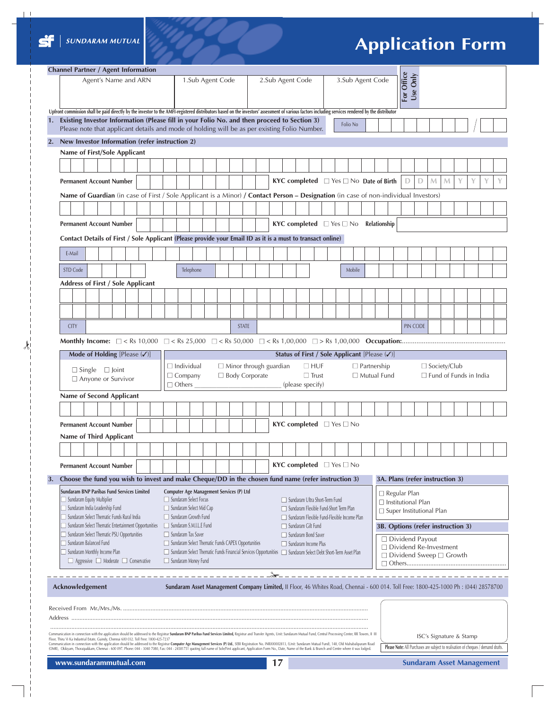

 $\lambda$ 

 $\frac{1}{1}$  $\overline{\phantom{a}}$  $\overline{\phantom{a}}$ 

 $\overline{\phantom{a}}$  $\overline{\phantom{a}}$ 

 $\begin{array}{c|c} 1 & 1 & 1 \\ 1 & 1 & 1 \\ 1 & 1 & 1 \\ 1 & 1 & 1 \\ \end{array}$ 

 $\overline{\phantom{a}}$ 

# **Application Form**

| <b>Channel Partner / Agent Information</b> |                                                                                                                                                                                                                                                                                                                                                                                                                                                                                                                                                             |                                                                                                                                                                                                            |  |  |  |                                                                                                                                                                                                                                                                |  |  |                  |  |                                                                   |  |                                           |  |            |                                     |               |  |                                                                                                                                     |                                                      |  |  |        |  |  |                                                                                                                                      |   |   |              |                                                                                   |   |   |   |   |  |  |
|--------------------------------------------|-------------------------------------------------------------------------------------------------------------------------------------------------------------------------------------------------------------------------------------------------------------------------------------------------------------------------------------------------------------------------------------------------------------------------------------------------------------------------------------------------------------------------------------------------------------|------------------------------------------------------------------------------------------------------------------------------------------------------------------------------------------------------------|--|--|--|----------------------------------------------------------------------------------------------------------------------------------------------------------------------------------------------------------------------------------------------------------------|--|--|------------------|--|-------------------------------------------------------------------|--|-------------------------------------------|--|------------|-------------------------------------|---------------|--|-------------------------------------------------------------------------------------------------------------------------------------|------------------------------------------------------|--|--|--------|--|--|--------------------------------------------------------------------------------------------------------------------------------------|---|---|--------------|-----------------------------------------------------------------------------------|---|---|---|---|--|--|
|                                            | Agent's Name and ARN                                                                                                                                                                                                                                                                                                                                                                                                                                                                                                                                        |                                                                                                                                                                                                            |  |  |  | 3.Sub Agent Code<br>1.Sub Agent Code<br>2.Sub Agent Code<br>Upfront commission shall be paid directly by the investor to the AMFI-registered distributors based on the investors' assessment of various factors including services rendered by the distributor |  |  |                  |  |                                                                   |  |                                           |  | For Office | Use Only                            |               |  |                                                                                                                                     |                                                      |  |  |        |  |  |                                                                                                                                      |   |   |              |                                                                                   |   |   |   |   |  |  |
|                                            |                                                                                                                                                                                                                                                                                                                                                                                                                                                                                                                                                             |                                                                                                                                                                                                            |  |  |  |                                                                                                                                                                                                                                                                |  |  |                  |  |                                                                   |  |                                           |  |            |                                     |               |  |                                                                                                                                     |                                                      |  |  |        |  |  |                                                                                                                                      |   |   |              |                                                                                   |   |   |   |   |  |  |
|                                            |                                                                                                                                                                                                                                                                                                                                                                                                                                                                                                                                                             | 1. Existing Investor Information (Please fill in your Folio No. and then proceed to Section 3)<br>Folio No<br>Please note that applicant details and mode of holding will be as per existing Folio Number. |  |  |  |                                                                                                                                                                                                                                                                |  |  |                  |  |                                                                   |  |                                           |  |            |                                     |               |  |                                                                                                                                     |                                                      |  |  |        |  |  |                                                                                                                                      |   |   |              |                                                                                   |   |   |   |   |  |  |
| 2.                                         | New Investor Information (refer instruction 2)                                                                                                                                                                                                                                                                                                                                                                                                                                                                                                              |                                                                                                                                                                                                            |  |  |  |                                                                                                                                                                                                                                                                |  |  |                  |  |                                                                   |  |                                           |  |            |                                     |               |  |                                                                                                                                     |                                                      |  |  |        |  |  |                                                                                                                                      |   |   |              |                                                                                   |   |   |   |   |  |  |
|                                            | Name of First/Sole Applicant                                                                                                                                                                                                                                                                                                                                                                                                                                                                                                                                |                                                                                                                                                                                                            |  |  |  |                                                                                                                                                                                                                                                                |  |  |                  |  |                                                                   |  |                                           |  |            |                                     |               |  |                                                                                                                                     |                                                      |  |  |        |  |  |                                                                                                                                      |   |   |              |                                                                                   |   |   |   |   |  |  |
|                                            |                                                                                                                                                                                                                                                                                                                                                                                                                                                                                                                                                             |                                                                                                                                                                                                            |  |  |  |                                                                                                                                                                                                                                                                |  |  |                  |  |                                                                   |  |                                           |  |            |                                     |               |  |                                                                                                                                     |                                                      |  |  |        |  |  |                                                                                                                                      |   |   |              |                                                                                   |   |   |   |   |  |  |
|                                            | <b>Permanent Account Number</b>                                                                                                                                                                                                                                                                                                                                                                                                                                                                                                                             |                                                                                                                                                                                                            |  |  |  |                                                                                                                                                                                                                                                                |  |  |                  |  |                                                                   |  |                                           |  |            |                                     |               |  | KYC completed $\Box$ Yes $\Box$ No Date of Birth                                                                                    |                                                      |  |  |        |  |  |                                                                                                                                      | D | D | $\mathsf{M}$ | M                                                                                 | Y | Y | Y | Y |  |  |
|                                            |                                                                                                                                                                                                                                                                                                                                                                                                                                                                                                                                                             |                                                                                                                                                                                                            |  |  |  |                                                                                                                                                                                                                                                                |  |  |                  |  |                                                                   |  |                                           |  |            |                                     |               |  |                                                                                                                                     |                                                      |  |  |        |  |  | Name of Guardian (in case of First / Sole Applicant is a Minor) / Contact Person - Designation (in case of non-individual Investors) |   |   |              |                                                                                   |   |   |   |   |  |  |
|                                            |                                                                                                                                                                                                                                                                                                                                                                                                                                                                                                                                                             |                                                                                                                                                                                                            |  |  |  |                                                                                                                                                                                                                                                                |  |  |                  |  |                                                                   |  |                                           |  |            |                                     |               |  |                                                                                                                                     |                                                      |  |  |        |  |  |                                                                                                                                      |   |   |              |                                                                                   |   |   |   |   |  |  |
|                                            |                                                                                                                                                                                                                                                                                                                                                                                                                                                                                                                                                             |                                                                                                                                                                                                            |  |  |  |                                                                                                                                                                                                                                                                |  |  |                  |  |                                                                   |  |                                           |  |            |                                     |               |  |                                                                                                                                     |                                                      |  |  |        |  |  |                                                                                                                                      |   |   |              |                                                                                   |   |   |   |   |  |  |
|                                            | <b>Permanent Account Number</b>                                                                                                                                                                                                                                                                                                                                                                                                                                                                                                                             |                                                                                                                                                                                                            |  |  |  |                                                                                                                                                                                                                                                                |  |  |                  |  |                                                                   |  | <b>KYC completed</b> $\Box$ Yes $\Box$ No |  |            |                                     |               |  | Relationship                                                                                                                        |                                                      |  |  |        |  |  |                                                                                                                                      |   |   |              |                                                                                   |   |   |   |   |  |  |
|                                            | Contact Details of First / Sole Applicant (Please provide your Email ID as it is a must to transact online)                                                                                                                                                                                                                                                                                                                                                                                                                                                 |                                                                                                                                                                                                            |  |  |  |                                                                                                                                                                                                                                                                |  |  |                  |  |                                                                   |  |                                           |  |            |                                     |               |  |                                                                                                                                     |                                                      |  |  |        |  |  |                                                                                                                                      |   |   |              |                                                                                   |   |   |   |   |  |  |
|                                            | E-Mail                                                                                                                                                                                                                                                                                                                                                                                                                                                                                                                                                      |                                                                                                                                                                                                            |  |  |  |                                                                                                                                                                                                                                                                |  |  |                  |  |                                                                   |  |                                           |  |            |                                     |               |  |                                                                                                                                     |                                                      |  |  |        |  |  |                                                                                                                                      |   |   |              |                                                                                   |   |   |   |   |  |  |
|                                            | STD Code                                                                                                                                                                                                                                                                                                                                                                                                                                                                                                                                                    |                                                                                                                                                                                                            |  |  |  |                                                                                                                                                                                                                                                                |  |  |                  |  | Telephone                                                         |  |                                           |  |            |                                     |               |  |                                                                                                                                     |                                                      |  |  | Mobile |  |  |                                                                                                                                      |   |   |              |                                                                                   |   |   |   |   |  |  |
|                                            | <b>Address of First / Sole Applicant</b>                                                                                                                                                                                                                                                                                                                                                                                                                                                                                                                    |                                                                                                                                                                                                            |  |  |  |                                                                                                                                                                                                                                                                |  |  |                  |  |                                                                   |  |                                           |  |            |                                     |               |  |                                                                                                                                     |                                                      |  |  |        |  |  |                                                                                                                                      |   |   |              |                                                                                   |   |   |   |   |  |  |
|                                            |                                                                                                                                                                                                                                                                                                                                                                                                                                                                                                                                                             |                                                                                                                                                                                                            |  |  |  |                                                                                                                                                                                                                                                                |  |  |                  |  |                                                                   |  |                                           |  |            |                                     |               |  |                                                                                                                                     |                                                      |  |  |        |  |  |                                                                                                                                      |   |   |              |                                                                                   |   |   |   |   |  |  |
|                                            |                                                                                                                                                                                                                                                                                                                                                                                                                                                                                                                                                             |                                                                                                                                                                                                            |  |  |  |                                                                                                                                                                                                                                                                |  |  |                  |  |                                                                   |  |                                           |  |            |                                     |               |  |                                                                                                                                     |                                                      |  |  |        |  |  |                                                                                                                                      |   |   |              |                                                                                   |   |   |   |   |  |  |
|                                            |                                                                                                                                                                                                                                                                                                                                                                                                                                                                                                                                                             | <b>STATE</b><br><b>CITY</b>                                                                                                                                                                                |  |  |  |                                                                                                                                                                                                                                                                |  |  |                  |  |                                                                   |  |                                           |  | PIN CODE   |                                     |               |  |                                                                                                                                     |                                                      |  |  |        |  |  |                                                                                                                                      |   |   |              |                                                                                   |   |   |   |   |  |  |
|                                            |                                                                                                                                                                                                                                                                                                                                                                                                                                                                                                                                                             |                                                                                                                                                                                                            |  |  |  |                                                                                                                                                                                                                                                                |  |  |                  |  |                                                                   |  |                                           |  |            |                                     |               |  |                                                                                                                                     |                                                      |  |  |        |  |  |                                                                                                                                      |   |   |              |                                                                                   |   |   |   |   |  |  |
|                                            | Mode of Holding [Please (/)]<br>Status of First / Sole Applicant [Please (V)]                                                                                                                                                                                                                                                                                                                                                                                                                                                                               |                                                                                                                                                                                                            |  |  |  |                                                                                                                                                                                                                                                                |  |  |                  |  |                                                                   |  |                                           |  |            |                                     |               |  |                                                                                                                                     |                                                      |  |  |        |  |  |                                                                                                                                      |   |   |              |                                                                                   |   |   |   |   |  |  |
|                                            |                                                                                                                                                                                                                                                                                                                                                                                                                                                                                                                                                             |                                                                                                                                                                                                            |  |  |  |                                                                                                                                                                                                                                                                |  |  |                  |  |                                                                   |  |                                           |  |            |                                     |               |  |                                                                                                                                     |                                                      |  |  |        |  |  |                                                                                                                                      |   |   |              |                                                                                   |   |   |   |   |  |  |
| $\Box$ Single $\Box$ Joint                 |                                                                                                                                                                                                                                                                                                                                                                                                                                                                                                                                                             |                                                                                                                                                                                                            |  |  |  | $\Box$ Individual<br>$\Box$ Minor through guardian<br>$\Box$ HUF<br>$\Box$ Partnership<br>□ Body Corporate<br>$\Box$ Trust<br>$\Box$ Company<br>$\Box$ Mutual Fund                                                                                             |  |  |                  |  |                                                                   |  |                                           |  |            |                                     |               |  |                                                                                                                                     | $\Box$ Society/Club<br>$\Box$ Fund of Funds in India |  |  |        |  |  |                                                                                                                                      |   |   |              |                                                                                   |   |   |   |   |  |  |
|                                            | □ Anyone or Survivor<br>$\Box$ Others                                                                                                                                                                                                                                                                                                                                                                                                                                                                                                                       |                                                                                                                                                                                                            |  |  |  |                                                                                                                                                                                                                                                                |  |  | (please specify) |  |                                                                   |  |                                           |  |            |                                     |               |  |                                                                                                                                     |                                                      |  |  |        |  |  |                                                                                                                                      |   |   |              |                                                                                   |   |   |   |   |  |  |
|                                            | Name of Second Applicant                                                                                                                                                                                                                                                                                                                                                                                                                                                                                                                                    |                                                                                                                                                                                                            |  |  |  |                                                                                                                                                                                                                                                                |  |  |                  |  |                                                                   |  |                                           |  |            |                                     |               |  |                                                                                                                                     |                                                      |  |  |        |  |  |                                                                                                                                      |   |   |              |                                                                                   |   |   |   |   |  |  |
|                                            |                                                                                                                                                                                                                                                                                                                                                                                                                                                                                                                                                             |                                                                                                                                                                                                            |  |  |  |                                                                                                                                                                                                                                                                |  |  |                  |  |                                                                   |  |                                           |  |            |                                     |               |  |                                                                                                                                     |                                                      |  |  |        |  |  |                                                                                                                                      |   |   |              |                                                                                   |   |   |   |   |  |  |
|                                            | Permanent Account Number                                                                                                                                                                                                                                                                                                                                                                                                                                                                                                                                    |                                                                                                                                                                                                            |  |  |  |                                                                                                                                                                                                                                                                |  |  |                  |  |                                                                   |  |                                           |  |            |                                     |               |  | <b>KYC completed</b> $\Box$ Yes $\Box$ No                                                                                           |                                                      |  |  |        |  |  |                                                                                                                                      |   |   |              |                                                                                   |   |   |   |   |  |  |
|                                            | Name of Third Applicant                                                                                                                                                                                                                                                                                                                                                                                                                                                                                                                                     |                                                                                                                                                                                                            |  |  |  |                                                                                                                                                                                                                                                                |  |  |                  |  |                                                                   |  |                                           |  |            |                                     |               |  |                                                                                                                                     |                                                      |  |  |        |  |  |                                                                                                                                      |   |   |              |                                                                                   |   |   |   |   |  |  |
|                                            |                                                                                                                                                                                                                                                                                                                                                                                                                                                                                                                                                             |                                                                                                                                                                                                            |  |  |  |                                                                                                                                                                                                                                                                |  |  |                  |  |                                                                   |  |                                           |  |            |                                     |               |  |                                                                                                                                     |                                                      |  |  |        |  |  |                                                                                                                                      |   |   |              |                                                                                   |   |   |   |   |  |  |
|                                            | <b>Permanent Account Number</b>                                                                                                                                                                                                                                                                                                                                                                                                                                                                                                                             |                                                                                                                                                                                                            |  |  |  |                                                                                                                                                                                                                                                                |  |  |                  |  |                                                                   |  |                                           |  |            |                                     |               |  | <b>KYC completed</b> $\Box$ Yes $\Box$ No                                                                                           |                                                      |  |  |        |  |  |                                                                                                                                      |   |   |              |                                                                                   |   |   |   |   |  |  |
|                                            |                                                                                                                                                                                                                                                                                                                                                                                                                                                                                                                                                             |                                                                                                                                                                                                            |  |  |  |                                                                                                                                                                                                                                                                |  |  |                  |  |                                                                   |  |                                           |  |            |                                     |               |  |                                                                                                                                     |                                                      |  |  |        |  |  |                                                                                                                                      |   |   |              |                                                                                   |   |   |   |   |  |  |
| 3.                                         | Choose the fund you wish to invest and make Cheque/DD in the chosen fund name (refer instruction 3)                                                                                                                                                                                                                                                                                                                                                                                                                                                         |                                                                                                                                                                                                            |  |  |  |                                                                                                                                                                                                                                                                |  |  |                  |  |                                                                   |  |                                           |  |            |                                     |               |  |                                                                                                                                     |                                                      |  |  |        |  |  |                                                                                                                                      |   |   |              | 3A. Plans (refer instruction 3)                                                   |   |   |   |   |  |  |
|                                            | Sundaram BNP Paribas Fund Services Limited<br>Sundaram Equity Multiplier                                                                                                                                                                                                                                                                                                                                                                                                                                                                                    |                                                                                                                                                                                                            |  |  |  |                                                                                                                                                                                                                                                                |  |  |                  |  | Computer Age Management Services (P) Ltd<br>Sundaram Select Focus |  |                                           |  |            |                                     |               |  | Sundaram Ultra Short-Term Fund                                                                                                      |                                                      |  |  |        |  |  | $\Box$ Regular Plan<br>$\Box$ Institutional Plan                                                                                     |   |   |              |                                                                                   |   |   |   |   |  |  |
|                                            | Sundaram India Leadership Fund                                                                                                                                                                                                                                                                                                                                                                                                                                                                                                                              |                                                                                                                                                                                                            |  |  |  |                                                                                                                                                                                                                                                                |  |  |                  |  | Sundaram Select Mid Cap                                           |  |                                           |  |            |                                     |               |  | Sundaram Flexible Fund-Short Term Plan                                                                                              |                                                      |  |  |        |  |  |                                                                                                                                      |   |   |              |                                                                                   |   |   |   |   |  |  |
|                                            | Sundaram Select Thematic Funds Rural India<br>Sundaram Select Thematic Entertainment Opportunities                                                                                                                                                                                                                                                                                                                                                                                                                                                          |                                                                                                                                                                                                            |  |  |  |                                                                                                                                                                                                                                                                |  |  |                  |  | Sundaram Growth Fund<br>Sundaram S.M.I.L.E Fund                   |  |                                           |  |            |                                     |               |  | Sundaram Flexible Fund-Flexible Income Plan<br>Sundaram Gilt Fund                                                                   |                                                      |  |  |        |  |  | $\square$ Super Institutional Plan<br>3B. Options (refer instruction 3)                                                              |   |   |              |                                                                                   |   |   |   |   |  |  |
|                                            | Sundaram Select Thematic PSU Opportunities                                                                                                                                                                                                                                                                                                                                                                                                                                                                                                                  |                                                                                                                                                                                                            |  |  |  |                                                                                                                                                                                                                                                                |  |  |                  |  | $\Box$ Sundaram Tax Saver                                         |  |                                           |  |            |                                     |               |  | Sundaram Bond Saver                                                                                                                 |                                                      |  |  |        |  |  |                                                                                                                                      |   |   |              |                                                                                   |   |   |   |   |  |  |
|                                            | Sundaram Balanced Fund                                                                                                                                                                                                                                                                                                                                                                                                                                                                                                                                      |                                                                                                                                                                                                            |  |  |  |                                                                                                                                                                                                                                                                |  |  |                  |  | Sundaram Select Thematic Funds CAPEX Opportunities                |  |                                           |  |            |                                     |               |  | $\Box$ Sundaram Income Plus                                                                                                         |                                                      |  |  |        |  |  | □ Dividend Payout                                                                                                                    |   |   |              | □ Dividend Re-Investment                                                          |   |   |   |   |  |  |
|                                            | Sundaram Monthly Income Plan<br>□ Sundaram Select Thematic Funds Financial Services Opportunities □ Sundaram Select Debt Short-Term Asset Plan<br>$\Box$ Aggressive $\Box$ Moderate $\Box$ Conservative<br>Sundaram Money Fund                                                                                                                                                                                                                                                                                                                              |                                                                                                                                                                                                            |  |  |  |                                                                                                                                                                                                                                                                |  |  |                  |  |                                                                   |  |                                           |  |            | $\Box$ Dividend Sweep $\Box$ Growth |               |  |                                                                                                                                     |                                                      |  |  |        |  |  |                                                                                                                                      |   |   |              |                                                                                   |   |   |   |   |  |  |
|                                            |                                                                                                                                                                                                                                                                                                                                                                                                                                                                                                                                                             |                                                                                                                                                                                                            |  |  |  |                                                                                                                                                                                                                                                                |  |  |                  |  |                                                                   |  |                                           |  |            |                                     | $\rightarrow$ |  |                                                                                                                                     |                                                      |  |  |        |  |  |                                                                                                                                      |   |   |              |                                                                                   |   |   |   |   |  |  |
|                                            | Acknowledgement                                                                                                                                                                                                                                                                                                                                                                                                                                                                                                                                             |                                                                                                                                                                                                            |  |  |  |                                                                                                                                                                                                                                                                |  |  |                  |  |                                                                   |  |                                           |  |            |                                     |               |  | Sundaram Asset Management Company Limited, II Floor, 46 Whites Road, Chennai - 600 014. Toll Free: 1800-425-1000 Ph: (044) 28578700 |                                                      |  |  |        |  |  |                                                                                                                                      |   |   |              |                                                                                   |   |   |   |   |  |  |
|                                            |                                                                                                                                                                                                                                                                                                                                                                                                                                                                                                                                                             |                                                                                                                                                                                                            |  |  |  |                                                                                                                                                                                                                                                                |  |  |                  |  |                                                                   |  |                                           |  |            |                                     |               |  |                                                                                                                                     |                                                      |  |  |        |  |  |                                                                                                                                      |   |   |              |                                                                                   |   |   |   |   |  |  |
|                                            | Address                                                                                                                                                                                                                                                                                                                                                                                                                                                                                                                                                     |                                                                                                                                                                                                            |  |  |  |                                                                                                                                                                                                                                                                |  |  |                  |  |                                                                   |  |                                           |  |            |                                     |               |  |                                                                                                                                     |                                                      |  |  |        |  |  |                                                                                                                                      |   |   |              |                                                                                   |   |   |   |   |  |  |
|                                            |                                                                                                                                                                                                                                                                                                                                                                                                                                                                                                                                                             |                                                                                                                                                                                                            |  |  |  |                                                                                                                                                                                                                                                                |  |  |                  |  |                                                                   |  |                                           |  |            |                                     |               |  |                                                                                                                                     |                                                      |  |  |        |  |  |                                                                                                                                      |   |   |              |                                                                                   |   |   |   |   |  |  |
|                                            | Communication in connection with the application should be addressed to the Registrar Sundaram BNP Paribas Fund Services Limited, Registrar and Transfer Agents, Unit: Sundaram Mutual Fund, Central Processing Center, RR Tow<br>Floor, Thiru Vi Ka Industrial Estate, Guindy, Chennai 600 032. Toll Free: 1800-425-7237<br>Communication in connection with the application should be addressed to the Registrar Computer Age Management Services (P) Ltd., SEBI Registration No. INR000002813, (Unit: Sundaram Mutual Fund), 148, Old Mahabalipuram Road |                                                                                                                                                                                                            |  |  |  |                                                                                                                                                                                                                                                                |  |  |                  |  |                                                                   |  |                                           |  |            |                                     |               |  |                                                                                                                                     |                                                      |  |  |        |  |  |                                                                                                                                      |   |   |              | ISC's Signature & Stamp                                                           |   |   |   |   |  |  |
|                                            | (OMR), Okkiyam, Thoraipakkam, Chennai - 600 097. Phone: 044 - 3040 7080, Fax: 044 - 24581751 quoting full name of Sole/First applicant, Application Form No., Date, Name of the Bank & Branch and Centre where it was lodged.                                                                                                                                                                                                                                                                                                                               |                                                                                                                                                                                                            |  |  |  |                                                                                                                                                                                                                                                                |  |  |                  |  |                                                                   |  |                                           |  |            |                                     |               |  |                                                                                                                                     |                                                      |  |  |        |  |  |                                                                                                                                      |   |   |              | Please Note: All Purchases are subject to realisation of cheques / demand drafts. |   |   |   |   |  |  |
|                                            | www.sundarammutual.com                                                                                                                                                                                                                                                                                                                                                                                                                                                                                                                                      |                                                                                                                                                                                                            |  |  |  |                                                                                                                                                                                                                                                                |  |  |                  |  |                                                                   |  |                                           |  |            |                                     | 17            |  |                                                                                                                                     |                                                      |  |  |        |  |  |                                                                                                                                      |   |   |              | <b>Sundaram Asset Management</b>                                                  |   |   |   |   |  |  |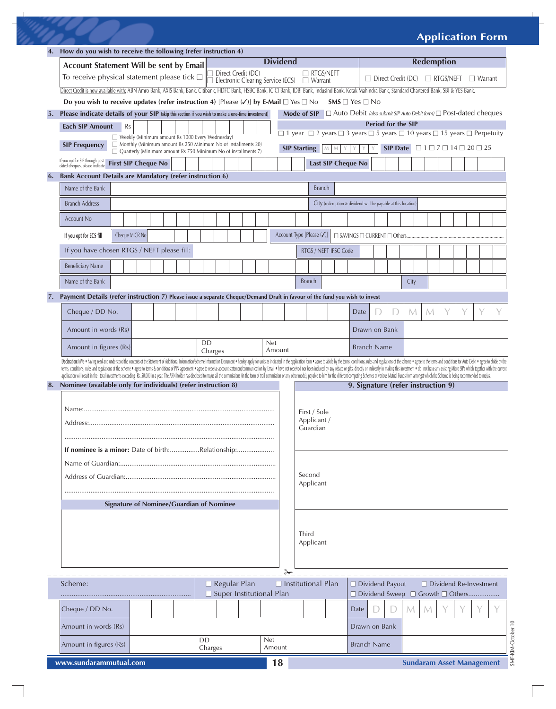### **Application Form**

|    | How do you wish to receive the following (refer instruction 4)                                                                                                                                                                                                                                                                                                                                                                                                  |               |                                    |  |            |        |                                                                                                                                                                                                          |                                                                                  |                       |                    |                                    |  |   |                                  |   |  |  |                               |             |  |  |
|----|-----------------------------------------------------------------------------------------------------------------------------------------------------------------------------------------------------------------------------------------------------------------------------------------------------------------------------------------------------------------------------------------------------------------------------------------------------------------|---------------|------------------------------------|--|------------|--------|----------------------------------------------------------------------------------------------------------------------------------------------------------------------------------------------------------|----------------------------------------------------------------------------------|-----------------------|--------------------|------------------------------------|--|---|----------------------------------|---|--|--|-------------------------------|-------------|--|--|
|    | <b>Dividend</b><br>Account Statement Will be sent by Email                                                                                                                                                                                                                                                                                                                                                                                                      |               |                                    |  |            |        |                                                                                                                                                                                                          | <b>Redemption</b>                                                                |                       |                    |                                    |  |   |                                  |   |  |  |                               |             |  |  |
|    | To receive physical statement please tick $\square$ $\square$ Direct Credit (DC) $\square$ RTGS/NI                                                                                                                                                                                                                                                                                                                                                              |               |                                    |  |            |        |                                                                                                                                                                                                          | $\Box$ RTGS/NEFT<br>$\Box$ Direct Credit (DC) $\Box$ RTGS/NEFT<br>$\Box$ Warrant |                       |                    |                                    |  |   |                                  |   |  |  |                               |             |  |  |
|    |                                                                                                                                                                                                                                                                                                                                                                                                                                                                 |               |                                    |  |            |        | Direct Credit is now available with: ABN Amro Bank, AXIS Bank, Bank, Citibank, HDFC Bank, HSBC Bank, ICICI Bank, IDBI Bank, IndusInd Bank, Kotak Mahindra Bank, Standard Chartered Bank, SBI & YES Bank. |                                                                                  |                       |                    |                                    |  |   |                                  |   |  |  |                               |             |  |  |
|    | Do you wish to receive updates (refer instruction 4) [Please $(\checkmark)$ ] by E-Mail $\Box$ Yes $\Box$ No<br>$SMS \square$ Yes $\square$ No                                                                                                                                                                                                                                                                                                                  |               |                                    |  |            |        |                                                                                                                                                                                                          |                                                                                  |                       |                    |                                    |  |   |                                  |   |  |  |                               |             |  |  |
| 5. | $\Box$ Auto Debit (also submit SIP Auto Debit form) $\Box$ Post-dated cheques<br>Please indicate details of your SIP (skip this section if you wish to make a one-time investment)<br>Mode of SIP                                                                                                                                                                                                                                                               |               |                                    |  |            |        |                                                                                                                                                                                                          |                                                                                  |                       |                    |                                    |  |   |                                  |   |  |  |                               |             |  |  |
|    | <b>Each SIP Amount</b><br>Rs                                                                                                                                                                                                                                                                                                                                                                                                                                    |               |                                    |  |            |        | Period for the SIP                                                                                                                                                                                       |                                                                                  |                       |                    |                                    |  |   |                                  |   |  |  |                               |             |  |  |
|    | Weekly (Minimum amount Rs 1000 Every Wednesday)<br>$\Box$ Monthly (Minimum amount Rs 250 Minimum No of installments 20)                                                                                                                                                                                                                                                                                                                                         |               |                                    |  |            |        | $\Box$ 1 year $\Box$ 2 years $\Box$ 3 years $\Box$ 5 years $\Box$ 10 years $\Box$ 15 years $\Box$ Perpetuity<br>SIP Date $\Box$ 1 $\Box$ 7 $\Box$ 14 $\Box$ 20 $\Box$ 25                                 |                                                                                  |                       |                    |                                    |  |   |                                  |   |  |  |                               |             |  |  |
|    | <b>SIP Frequency</b><br>$\Box$ Quarterly (Minimum amount Rs 750 Minimum No of installments 7)                                                                                                                                                                                                                                                                                                                                                                   |               |                                    |  |            |        | <b>SIP Starting</b>                                                                                                                                                                                      |                                                                                  | ${\cal M}$<br>M       |                    |                                    |  |   |                                  |   |  |  |                               |             |  |  |
|    | If you opt for SIP through post<br>dated cheques, please indicate<br><b>First SIP Cheque No</b>                                                                                                                                                                                                                                                                                                                                                                 |               |                                    |  |            |        |                                                                                                                                                                                                          |                                                                                  | Last SIP Cheque No    |                    |                                    |  |   |                                  |   |  |  |                               |             |  |  |
|    | 6. Bank Account Details are Mandatory (refer instruction 6)                                                                                                                                                                                                                                                                                                                                                                                                     |               |                                    |  |            |        |                                                                                                                                                                                                          |                                                                                  |                       |                    |                                    |  |   |                                  |   |  |  |                               |             |  |  |
|    | Name of the Bank<br><b>Branch</b>                                                                                                                                                                                                                                                                                                                                                                                                                               |               |                                    |  |            |        |                                                                                                                                                                                                          |                                                                                  |                       |                    |                                    |  |   |                                  |   |  |  |                               |             |  |  |
|    | <b>Branch Address</b>                                                                                                                                                                                                                                                                                                                                                                                                                                           |               |                                    |  |            |        |                                                                                                                                                                                                          | City (redemption & dividend will be payable at this location)                    |                       |                    |                                    |  |   |                                  |   |  |  |                               |             |  |  |
|    |                                                                                                                                                                                                                                                                                                                                                                                                                                                                 |               |                                    |  |            |        |                                                                                                                                                                                                          |                                                                                  |                       |                    |                                    |  |   |                                  |   |  |  |                               |             |  |  |
|    | <b>Account No</b>                                                                                                                                                                                                                                                                                                                                                                                                                                               |               |                                    |  |            |        |                                                                                                                                                                                                          |                                                                                  |                       |                    |                                    |  |   |                                  |   |  |  |                               |             |  |  |
|    | Cheque MICR No<br>Account Type [Please (/)]<br>If you opt for ECS fill                                                                                                                                                                                                                                                                                                                                                                                          |               |                                    |  |            |        |                                                                                                                                                                                                          |                                                                                  |                       |                    |                                    |  |   |                                  |   |  |  |                               |             |  |  |
|    | If you have chosen RTGS / NEFT please fill:                                                                                                                                                                                                                                                                                                                                                                                                                     |               |                                    |  |            |        |                                                                                                                                                                                                          |                                                                                  | RTGS / NEFT IFSC Code |                    |                                    |  |   |                                  |   |  |  |                               |             |  |  |
|    |                                                                                                                                                                                                                                                                                                                                                                                                                                                                 |               |                                    |  |            |        |                                                                                                                                                                                                          |                                                                                  |                       |                    |                                    |  |   |                                  |   |  |  |                               |             |  |  |
|    | <b>Beneficiary Name</b>                                                                                                                                                                                                                                                                                                                                                                                                                                         |               |                                    |  |            |        |                                                                                                                                                                                                          |                                                                                  |                       |                    |                                    |  |   |                                  |   |  |  |                               |             |  |  |
|    | Name of the Bank                                                                                                                                                                                                                                                                                                                                                                                                                                                |               |                                    |  |            |        |                                                                                                                                                                                                          | <b>Branch</b>                                                                    |                       |                    |                                    |  |   | City                             |   |  |  |                               |             |  |  |
|    | 7. Payment Details (refer instruction 7) Please issue a separate Cheque/Demand Draft in favour of the fund you wish to invest                                                                                                                                                                                                                                                                                                                                   |               |                                    |  |            |        |                                                                                                                                                                                                          |                                                                                  |                       |                    |                                    |  |   |                                  |   |  |  |                               |             |  |  |
|    | Cheque / DD No.                                                                                                                                                                                                                                                                                                                                                                                                                                                 |               |                                    |  |            |        |                                                                                                                                                                                                          |                                                                                  |                       |                    | Date                               |  |   | M                                | M |  |  |                               |             |  |  |
|    |                                                                                                                                                                                                                                                                                                                                                                                                                                                                 |               |                                    |  |            |        |                                                                                                                                                                                                          |                                                                                  |                       |                    |                                    |  |   |                                  |   |  |  |                               |             |  |  |
|    | Amount in words (Rs)                                                                                                                                                                                                                                                                                                                                                                                                                                            |               |                                    |  |            |        |                                                                                                                                                                                                          |                                                                                  |                       |                    | Drawn on Bank                      |  |   |                                  |   |  |  |                               |             |  |  |
|    | <b>DD</b><br><b>Net</b><br>Amount in figures (Rs)<br>Charges                                                                                                                                                                                                                                                                                                                                                                                                    |               |                                    |  | Amount     |        |                                                                                                                                                                                                          |                                                                                  |                       | <b>Branch Name</b> |                                    |  |   |                                  |   |  |  |                               |             |  |  |
|    | Declaration: (We * having read and understood the contents of the Statement of Additional Information/Scheme Information Document * hereby apply for units as indicated in the application form * agree to abide by the terms,                                                                                                                                                                                                                                  |               |                                    |  |            |        |                                                                                                                                                                                                          |                                                                                  |                       |                    |                                    |  |   |                                  |   |  |  |                               |             |  |  |
|    | tems, conditions, rules and regulations of the scheme . agree to terms & conditions of PIN agreement . agree to receive account statement/communication by Email . have not received not been induced by any rebate or gifts,<br>application will result in the total investments exceeding Rs. 50,000 in a year. The ARN holder has disclosed to melus all the commissions (in the form of trail commission or any other mode), payable to him for the differe |               |                                    |  |            |        |                                                                                                                                                                                                          |                                                                                  |                       |                    |                                    |  |   |                                  |   |  |  |                               |             |  |  |
| 8. | Nominee (available only for individuals) (refer instruction 8)                                                                                                                                                                                                                                                                                                                                                                                                  |               |                                    |  |            |        |                                                                                                                                                                                                          |                                                                                  |                       |                    | 9. Signature (refer instruction 9) |  |   |                                  |   |  |  |                               |             |  |  |
|    |                                                                                                                                                                                                                                                                                                                                                                                                                                                                 |               |                                    |  |            |        |                                                                                                                                                                                                          |                                                                                  |                       |                    |                                    |  |   |                                  |   |  |  |                               |             |  |  |
|    |                                                                                                                                                                                                                                                                                                                                                                                                                                                                 |               |                                    |  |            |        |                                                                                                                                                                                                          | First / Sole                                                                     |                       |                    |                                    |  |   |                                  |   |  |  |                               |             |  |  |
|    |                                                                                                                                                                                                                                                                                                                                                                                                                                                                 |               |                                    |  |            |        |                                                                                                                                                                                                          | Applicant /<br>Guardian                                                          |                       |                    |                                    |  |   |                                  |   |  |  |                               |             |  |  |
|    |                                                                                                                                                                                                                                                                                                                                                                                                                                                                 |               |                                    |  |            |        |                                                                                                                                                                                                          |                                                                                  |                       |                    |                                    |  |   |                                  |   |  |  |                               |             |  |  |
|    | If nominee is a minor: Date of birth:Relationship:                                                                                                                                                                                                                                                                                                                                                                                                              |               |                                    |  |            |        |                                                                                                                                                                                                          |                                                                                  |                       |                    |                                    |  |   |                                  |   |  |  |                               |             |  |  |
|    |                                                                                                                                                                                                                                                                                                                                                                                                                                                                 |               |                                    |  |            |        |                                                                                                                                                                                                          |                                                                                  |                       |                    |                                    |  |   |                                  |   |  |  |                               |             |  |  |
|    |                                                                                                                                                                                                                                                                                                                                                                                                                                                                 |               |                                    |  |            |        |                                                                                                                                                                                                          | Second                                                                           |                       |                    |                                    |  |   |                                  |   |  |  |                               |             |  |  |
|    |                                                                                                                                                                                                                                                                                                                                                                                                                                                                 |               |                                    |  |            |        | Applicant                                                                                                                                                                                                |                                                                                  |                       |                    |                                    |  |   |                                  |   |  |  |                               |             |  |  |
|    |                                                                                                                                                                                                                                                                                                                                                                                                                                                                 |               |                                    |  |            |        |                                                                                                                                                                                                          |                                                                                  |                       |                    |                                    |  |   |                                  |   |  |  |                               |             |  |  |
|    | <b>Signature of Nominee/Guardian of Nominee</b>                                                                                                                                                                                                                                                                                                                                                                                                                 |               |                                    |  |            |        |                                                                                                                                                                                                          |                                                                                  |                       |                    |                                    |  |   |                                  |   |  |  |                               |             |  |  |
|    |                                                                                                                                                                                                                                                                                                                                                                                                                                                                 |               |                                    |  |            |        |                                                                                                                                                                                                          |                                                                                  |                       |                    |                                    |  |   |                                  |   |  |  |                               |             |  |  |
|    |                                                                                                                                                                                                                                                                                                                                                                                                                                                                 |               |                                    |  |            |        |                                                                                                                                                                                                          | Third                                                                            |                       |                    |                                    |  |   |                                  |   |  |  |                               |             |  |  |
|    |                                                                                                                                                                                                                                                                                                                                                                                                                                                                 |               |                                    |  |            |        |                                                                                                                                                                                                          | Applicant                                                                        |                       |                    |                                    |  |   |                                  |   |  |  |                               |             |  |  |
|    |                                                                                                                                                                                                                                                                                                                                                                                                                                                                 |               |                                    |  |            |        |                                                                                                                                                                                                          |                                                                                  |                       |                    |                                    |  |   |                                  |   |  |  |                               |             |  |  |
|    |                                                                                                                                                                                                                                                                                                                                                                                                                                                                 |               |                                    |  |            | ⊁      |                                                                                                                                                                                                          |                                                                                  |                       |                    |                                    |  |   |                                  |   |  |  |                               |             |  |  |
|    | Scheme:                                                                                                                                                                                                                                                                                                                                                                                                                                                         |               | $\Box$ Regular Plan                |  |            |        | $\Box$ Institutional Plan                                                                                                                                                                                |                                                                                  |                       |                    | $\Box$ Dividend Payout             |  |   |                                  |   |  |  | $\Box$ Dividend Re-Investment |             |  |  |
|    |                                                                                                                                                                                                                                                                                                                                                                                                                                                                 |               | $\square$ Super Institutional Plan |  |            |        |                                                                                                                                                                                                          |                                                                                  |                       |                    | □ Dividend Sweep □ Growth □ Others |  |   |                                  |   |  |  |                               |             |  |  |
|    | Cheque / DD No.                                                                                                                                                                                                                                                                                                                                                                                                                                                 |               |                                    |  |            |        |                                                                                                                                                                                                          |                                                                                  |                       |                    | Date                               |  | D | M                                | M |  |  |                               |             |  |  |
|    | Amount in words (Rs)                                                                                                                                                                                                                                                                                                                                                                                                                                            |               |                                    |  |            |        |                                                                                                                                                                                                          |                                                                                  |                       |                    | Drawn on Bank                      |  |   |                                  |   |  |  |                               |             |  |  |
|    | Amount in figures (Rs)                                                                                                                                                                                                                                                                                                                                                                                                                                          | DD<br>Charges |                                    |  | <b>Net</b> | Amount |                                                                                                                                                                                                          |                                                                                  |                       |                    | <b>Branch Name</b>                 |  |   |                                  |   |  |  |                               | KIM-October |  |  |
|    | www.sundarammutual.com                                                                                                                                                                                                                                                                                                                                                                                                                                          |               |                                    |  |            | 18     |                                                                                                                                                                                                          |                                                                                  |                       |                    |                                    |  |   | <b>Sundaram Asset Management</b> |   |  |  |                               |             |  |  |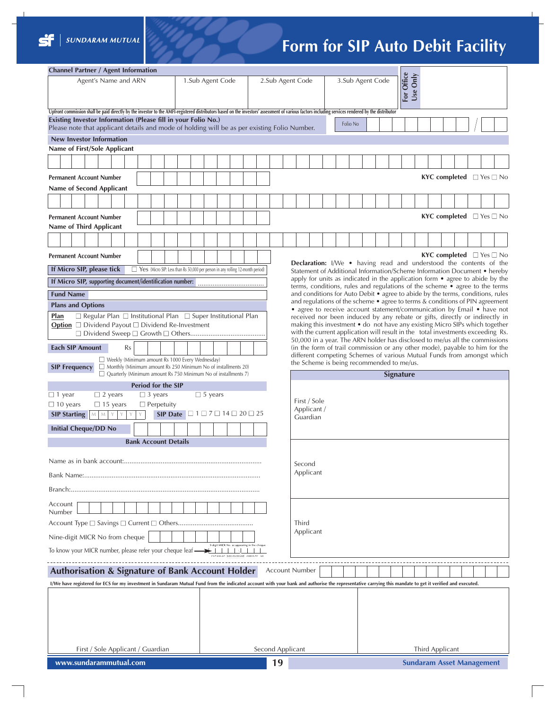

## **Form for SIP Auto Debit Facility**

| <b>Channel Partner / Agent Information</b>                                                                                                                                                               |                                                                             |                                                               |  |                                                                                                                                                                |  |  |                                |  |  |  |          |  |  |                 |                                           |  |                                           |
|----------------------------------------------------------------------------------------------------------------------------------------------------------------------------------------------------------|-----------------------------------------------------------------------------|---------------------------------------------------------------|--|----------------------------------------------------------------------------------------------------------------------------------------------------------------|--|--|--------------------------------|--|--|--|----------|--|--|-----------------|-------------------------------------------|--|-------------------------------------------|
| Agent's Name and ARN<br>1.Sub Agent Code                                                                                                                                                                 |                                                                             | 2.Sub Agent Code                                              |  |                                                                                                                                                                |  |  | For Office<br>3.Sub Agent Code |  |  |  |          |  |  |                 |                                           |  |                                           |
|                                                                                                                                                                                                          |                                                                             |                                                               |  |                                                                                                                                                                |  |  |                                |  |  |  | Use Only |  |  |                 |                                           |  |                                           |
| Upfront commission shall be paid directly by the investor to the AMFI-registered distributors based on the investors' assessment of various factors including services rendered by the distributor       |                                                                             |                                                               |  |                                                                                                                                                                |  |  |                                |  |  |  |          |  |  |                 |                                           |  |                                           |
| Existing Investor Information (Please fill in your Folio No.)<br>Folio No<br>Please note that applicant details and mode of holding will be as per existing Folio Number.                                |                                                                             |                                                               |  |                                                                                                                                                                |  |  |                                |  |  |  |          |  |  |                 |                                           |  |                                           |
| <b>New Investor Information</b>                                                                                                                                                                          |                                                                             |                                                               |  |                                                                                                                                                                |  |  |                                |  |  |  |          |  |  |                 |                                           |  |                                           |
| Name of First/Sole Applicant                                                                                                                                                                             |                                                                             |                                                               |  |                                                                                                                                                                |  |  |                                |  |  |  |          |  |  |                 |                                           |  |                                           |
|                                                                                                                                                                                                          |                                                                             |                                                               |  |                                                                                                                                                                |  |  |                                |  |  |  |          |  |  |                 |                                           |  |                                           |
| <b>Permanent Account Number</b>                                                                                                                                                                          |                                                                             |                                                               |  |                                                                                                                                                                |  |  |                                |  |  |  |          |  |  |                 |                                           |  | <b>KYC completed</b> $\Box$ Yes $\Box$ No |
| Name of Second Applicant                                                                                                                                                                                 |                                                                             |                                                               |  |                                                                                                                                                                |  |  |                                |  |  |  |          |  |  |                 |                                           |  |                                           |
|                                                                                                                                                                                                          |                                                                             |                                                               |  |                                                                                                                                                                |  |  |                                |  |  |  |          |  |  |                 |                                           |  |                                           |
| <b>Permanent Account Number</b>                                                                                                                                                                          |                                                                             |                                                               |  |                                                                                                                                                                |  |  |                                |  |  |  |          |  |  |                 | <b>KYC completed</b> $\Box$ Yes $\Box$ No |  |                                           |
| <b>Name of Third Applicant</b>                                                                                                                                                                           |                                                                             |                                                               |  |                                                                                                                                                                |  |  |                                |  |  |  |          |  |  |                 |                                           |  |                                           |
|                                                                                                                                                                                                          |                                                                             |                                                               |  |                                                                                                                                                                |  |  |                                |  |  |  |          |  |  |                 |                                           |  |                                           |
| <b>Permanent Account Number</b>                                                                                                                                                                          |                                                                             |                                                               |  |                                                                                                                                                                |  |  |                                |  |  |  |          |  |  |                 |                                           |  | <b>KYC completed</b> $\Box$ Yes $\Box$ No |
| If Micro SIP, please tick<br>Yes (Micro SIP: Less than Rs 50,000 per person in any rolling 12-month period)                                                                                              |                                                                             |                                                               |  | Declaration: I/We . having read and understood the contents of the<br>Statement of Additional Information/Scheme Information Document • hereby                 |  |  |                                |  |  |  |          |  |  |                 |                                           |  |                                           |
| If Micro SIP, supporting document/identification number:                                                                                                                                                 |                                                                             |                                                               |  | apply for units as indicated in the application form • agree to abide by the                                                                                   |  |  |                                |  |  |  |          |  |  |                 |                                           |  |                                           |
| <b>Fund Name</b>                                                                                                                                                                                         |                                                                             |                                                               |  | terms, conditions, rules and regulations of the scheme • agree to the terms<br>and conditions for Auto Debit • agree to abide by the terms, conditions, rules  |  |  |                                |  |  |  |          |  |  |                 |                                           |  |                                           |
| <b>Plans and Options</b>                                                                                                                                                                                 |                                                                             |                                                               |  | and regulations of the scheme • agree to terms & conditions of PIN agreement<br>• agree to receive account statement/communication by Email • have not         |  |  |                                |  |  |  |          |  |  |                 |                                           |  |                                           |
| $\Box$ Regular Plan $\Box$ Institutional Plan $\Box$ Super Institutional Plan<br>Plan                                                                                                                    |                                                                             |                                                               |  | received nor been induced by any rebate or gifts, directly or indirectly in                                                                                    |  |  |                                |  |  |  |          |  |  |                 |                                           |  |                                           |
| Option □ Dividend Payout □ Dividend Re-Investment                                                                                                                                                        |                                                                             |                                                               |  | making this investment • do not have any existing Micro SIPs which together<br>with the current application will result in the total investments exceeding Rs. |  |  |                                |  |  |  |          |  |  |                 |                                           |  |                                           |
|                                                                                                                                                                                                          | 50,000 in a year. The ARN holder has disclosed to me/us all the commissions |                                                               |  |                                                                                                                                                                |  |  |                                |  |  |  |          |  |  |                 |                                           |  |                                           |
| <b>Each SIP Amount</b><br>(in the form of trail commission or any other mode), payable to him for the<br>Rs<br>different competing Schemes of various Mutual Funds from amongst which                    |                                                                             |                                                               |  |                                                                                                                                                                |  |  |                                |  |  |  |          |  |  |                 |                                           |  |                                           |
| Weekly (Minimum amount Rs 1000 Every Wednesday)<br>Monthly (Minimum amount Rs 250 Minimum No of installments 20)<br><b>SIP Frequency</b>                                                                 |                                                                             | the Scheme is being recommended to me/us.<br><b>Signature</b> |  |                                                                                                                                                                |  |  |                                |  |  |  |          |  |  |                 |                                           |  |                                           |
|                                                                                                                                                                                                          |                                                                             |                                                               |  |                                                                                                                                                                |  |  |                                |  |  |  |          |  |  |                 |                                           |  |                                           |
| $\Box$ Quarterly (Minimum amount Rs 750 Minimum No of installments 7)                                                                                                                                    |                                                                             |                                                               |  |                                                                                                                                                                |  |  |                                |  |  |  |          |  |  |                 |                                           |  |                                           |
| <b>Period for the SIP</b><br>$\Box$ 1 year<br>$\Box$ 3 years<br>$\Box$ 2 years                                                                                                                           | $\Box$ 5 years                                                              |                                                               |  |                                                                                                                                                                |  |  |                                |  |  |  |          |  |  |                 |                                           |  |                                           |
| $\Box$ 10 years<br>$\Box$ Perpetuity<br>$\Box$ 15 years                                                                                                                                                  |                                                                             |                                                               |  | First / Sole                                                                                                                                                   |  |  |                                |  |  |  |          |  |  |                 |                                           |  |                                           |
| <b>SIP Starting</b><br>${\mathsf M}$ - ${\mathsf M}$<br>Y<br>Y                                                                                                                                           | SIP Date $\Box$ 1 $\Box$ 7 $\Box$ 14 $\Box$ 20 $\Box$ 25                    |                                                               |  | Applicant /<br>Guardian                                                                                                                                        |  |  |                                |  |  |  |          |  |  |                 |                                           |  |                                           |
| <b>Initial Cheque/DD No</b>                                                                                                                                                                              |                                                                             |                                                               |  |                                                                                                                                                                |  |  |                                |  |  |  |          |  |  |                 |                                           |  |                                           |
| <b>Bank Account Details</b>                                                                                                                                                                              |                                                                             |                                                               |  |                                                                                                                                                                |  |  |                                |  |  |  |          |  |  |                 |                                           |  |                                           |
|                                                                                                                                                                                                          |                                                                             |                                                               |  |                                                                                                                                                                |  |  |                                |  |  |  |          |  |  |                 |                                           |  |                                           |
|                                                                                                                                                                                                          |                                                                             |                                                               |  | Second<br>Applicant                                                                                                                                            |  |  |                                |  |  |  |          |  |  |                 |                                           |  |                                           |
|                                                                                                                                                                                                          |                                                                             |                                                               |  |                                                                                                                                                                |  |  |                                |  |  |  |          |  |  |                 |                                           |  |                                           |
| Account                                                                                                                                                                                                  |                                                                             |                                                               |  |                                                                                                                                                                |  |  |                                |  |  |  |          |  |  |                 |                                           |  |                                           |
| Number                                                                                                                                                                                                   |                                                                             |                                                               |  |                                                                                                                                                                |  |  |                                |  |  |  |          |  |  |                 |                                           |  |                                           |
|                                                                                                                                                                                                          |                                                                             |                                                               |  | Third<br>Applicant                                                                                                                                             |  |  |                                |  |  |  |          |  |  |                 |                                           |  |                                           |
| Nine-digit MICR No from cheque                                                                                                                                                                           | Higit MICR No. as appearing in the cheque                                   |                                                               |  |                                                                                                                                                                |  |  |                                |  |  |  |          |  |  |                 |                                           |  |                                           |
| To know your MICR number, please refer your cheque leaf $\longrightarrow$ 111111                                                                                                                         |                                                                             |                                                               |  |                                                                                                                                                                |  |  |                                |  |  |  |          |  |  |                 |                                           |  |                                           |
| <b>Authorisation &amp; Signature of Bank Account Holder</b>                                                                                                                                              |                                                                             |                                                               |  | <b>Account Number</b>                                                                                                                                          |  |  |                                |  |  |  |          |  |  |                 |                                           |  |                                           |
| I/We have registered for ECS for my investment in Sundaram Mutual Fund from the indicated account with your bank and authorise the representative carrying this mandate to get it verified and executed. |                                                                             |                                                               |  |                                                                                                                                                                |  |  |                                |  |  |  |          |  |  |                 |                                           |  |                                           |
|                                                                                                                                                                                                          |                                                                             |                                                               |  |                                                                                                                                                                |  |  |                                |  |  |  |          |  |  |                 |                                           |  |                                           |
|                                                                                                                                                                                                          |                                                                             |                                                               |  |                                                                                                                                                                |  |  |                                |  |  |  |          |  |  |                 |                                           |  |                                           |
|                                                                                                                                                                                                          |                                                                             |                                                               |  |                                                                                                                                                                |  |  |                                |  |  |  |          |  |  |                 |                                           |  |                                           |
|                                                                                                                                                                                                          |                                                                             |                                                               |  |                                                                                                                                                                |  |  |                                |  |  |  |          |  |  |                 |                                           |  |                                           |
| First / Sole Applicant / Guardian                                                                                                                                                                        |                                                                             |                                                               |  | Second Applicant                                                                                                                                               |  |  |                                |  |  |  |          |  |  | Third Applicant |                                           |  |                                           |